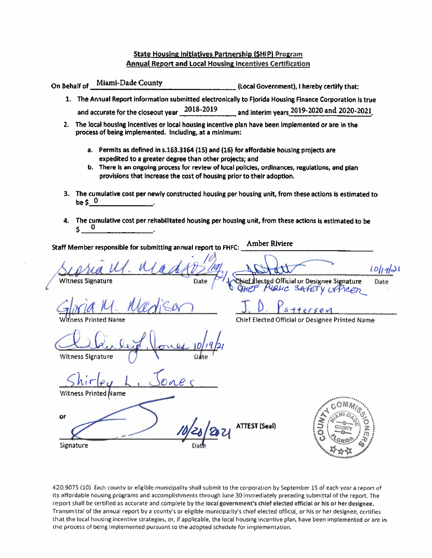#### **State Housing Initiatives Partnership (SHIP) Program Annual Report and Local Housing Incentives Certification**

On Behalf of Miami-Dade County (Local Government), I hereby certify that:

- 1. The Annual Report information submitted electronically to Florida Housing Finance Corporation is true and accurate for the closeout year 2018-2019 and interim years 2019-2020 and 2020-2021
- 2. The local housing incentives or local housing incentive plan have been implemented or are in the process of being implemented. Including, at a minimum:
	- a. Permits as defined in s.163.3164 (15) and (16) for affordable housing projects are expedited to a greater degree than other projects; and
	- b. There is an ongoing process for review of local policies, ordinances, regulations, and plan provisions that increase the cost of housing prior to their adoption.
- 3. The cumulative cost per newly constructed housing per housing unit, from these actions is estimated to be  $5<sup>0</sup>$
- 4. The cumulative cost per rehabilitated housing per housing unit, from these actions is estimated to be \$

Amber Riviere Staff Member responsible for submitting annual report to FHFC:

 $\omega_l$ 421 **Witness Signature** elected Official or Designee Signature Date ALC SAFETY UFFICOD

Chief Elected Official or Designee Printed Name

**Witness Signature** 

**Printed Name** 

or

Signature

**ATTEST (Seal)** 



420.9075 (10) Each county or eligible municipality shall submit to the corporation by September 15 of each year a report of its affordable housing programs and accomplishments through June 30 immediately preceding submittal of the report. The report shall be certified as accurate and complete by the local government's chief elected official or his or her designee. Transmittal of the annual report by a county's or eligible municipality's chief elected official, or his or her designee, certifies that the local housing incentive strategies, or, if applicable, the local housing incentive plan, have been implemented or are in the process of being implemented pursuant to the adopted schedule for implementation.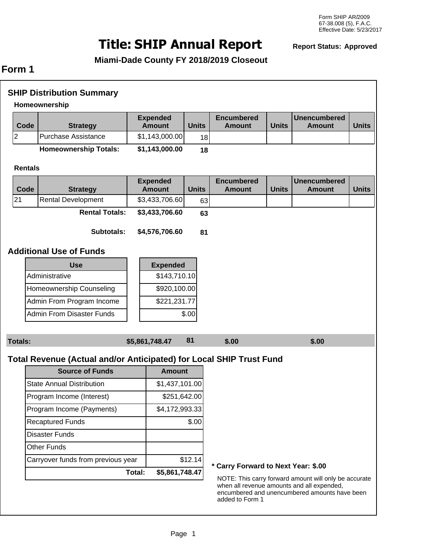# **SHIP Annual Report Title: Report Status: Approved**

**Miami-Dade County FY 2018/2019 Closeout**

## **Form 1**

|                | <b>SHIP Distribution Summary</b><br>Homeownership                   |                |                                  |              |                                     |              |                                                                                                                                                      |              |
|----------------|---------------------------------------------------------------------|----------------|----------------------------------|--------------|-------------------------------------|--------------|------------------------------------------------------------------------------------------------------------------------------------------------------|--------------|
| Code           | <b>Strategy</b>                                                     |                | <b>Expended</b><br><b>Amount</b> | <b>Units</b> | <b>Encumbered</b><br><b>Amount</b>  | <b>Units</b> | <b>Unencumbered</b><br><b>Amount</b>                                                                                                                 | <b>Units</b> |
| 2              | <b>Purchase Assistance</b>                                          |                | \$1,143,000.00                   | 18           |                                     |              |                                                                                                                                                      |              |
|                | <b>Homeownership Totals:</b>                                        |                | \$1,143,000.00                   | 18           |                                     |              |                                                                                                                                                      |              |
| <b>Rentals</b> |                                                                     |                |                                  |              |                                     |              |                                                                                                                                                      |              |
| Code           | <b>Strategy</b>                                                     |                | <b>Expended</b><br><b>Amount</b> | <b>Units</b> | <b>Encumbered</b><br><b>Amount</b>  | <b>Units</b> | <b>Unencumbered</b><br><b>Amount</b>                                                                                                                 | <b>Units</b> |
| 21             | <b>Rental Development</b>                                           |                | \$3,433,706.60                   | 63           |                                     |              |                                                                                                                                                      |              |
|                | <b>Rental Totals:</b>                                               |                | \$3,433,706.60                   | 63           |                                     |              |                                                                                                                                                      |              |
|                | <b>Subtotals:</b>                                                   |                | \$4,576,706.60                   | 81           |                                     |              |                                                                                                                                                      |              |
|                | <b>Additional Use of Funds</b>                                      |                |                                  |              |                                     |              |                                                                                                                                                      |              |
|                | <b>Use</b>                                                          |                | <b>Expended</b>                  |              |                                     |              |                                                                                                                                                      |              |
|                | Administrative                                                      |                | \$143,710.10                     |              |                                     |              |                                                                                                                                                      |              |
|                | Homeownership Counseling                                            |                | \$920,100.00                     |              |                                     |              |                                                                                                                                                      |              |
|                | Admin From Program Income                                           |                | \$221,231.77                     |              |                                     |              |                                                                                                                                                      |              |
|                | <b>Admin From Disaster Funds</b>                                    |                |                                  | \$.00        |                                     |              |                                                                                                                                                      |              |
| <b>Totals:</b> |                                                                     | \$5,861,748.47 |                                  | 81           | \$.00                               |              | \$.00                                                                                                                                                |              |
|                |                                                                     |                |                                  |              |                                     |              |                                                                                                                                                      |              |
|                | Total Revenue (Actual and/or Anticipated) for Local SHIP Trust Fund |                |                                  |              |                                     |              |                                                                                                                                                      |              |
|                | <b>Source of Funds</b>                                              |                | <b>Amount</b>                    |              |                                     |              |                                                                                                                                                      |              |
|                | <b>State Annual Distribution</b>                                    |                | \$1,437,101.00                   |              |                                     |              |                                                                                                                                                      |              |
|                | Program Income (Interest)                                           |                | \$251,642.00                     |              |                                     |              |                                                                                                                                                      |              |
|                | Program Income (Payments)                                           |                | \$4,172,993.33                   |              |                                     |              |                                                                                                                                                      |              |
|                | <b>Recaptured Funds</b>                                             |                |                                  | \$.00        |                                     |              |                                                                                                                                                      |              |
|                | <b>Disaster Funds</b>                                               |                |                                  |              |                                     |              |                                                                                                                                                      |              |
|                | <b>Other Funds</b>                                                  |                |                                  |              |                                     |              |                                                                                                                                                      |              |
|                | Carryover funds from previous year                                  |                |                                  | \$12.14      | * Carry Forward to Next Year: \$.00 |              |                                                                                                                                                      |              |
|                |                                                                     | Total:         | \$5,861,748.47                   |              | added to Form 1                     |              | NOTE: This carry forward amount will only be accurate<br>when all revenue amounts and all expended,<br>encumbered and unencumbered amounts have been |              |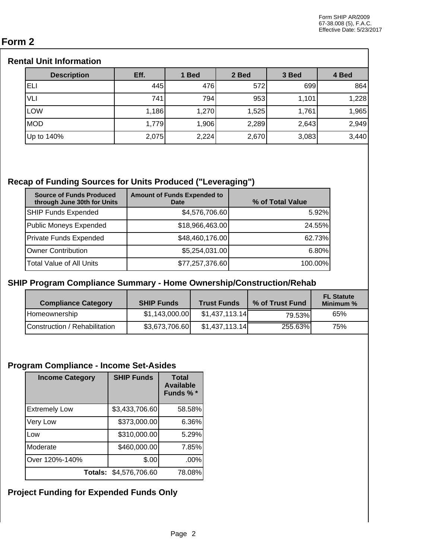## **Form 2**

### **Rental Unit Information**

| <b>Description</b> | Eff.  | 1 Bed | 2 Bed | 3 Bed | 4 Bed |
|--------------------|-------|-------|-------|-------|-------|
| ELI                | 445   | 476   | 572   | 699   | 864   |
| VLI                | 741   | 794   | 953   | 1,101 | 1,228 |
| LOW                | 1,186 | 1,270 | 1,525 | 1,761 | 1,965 |
| <b>MOD</b>         | 1,779 | 1,906 | 2,289 | 2,643 | 2,949 |
| Up to 140%         | 2,075 | 2,224 | 2,670 | 3,083 | 3,440 |

## **Recap of Funding Sources for Units Produced ("Leveraging")**

| <b>Source of Funds Produced</b><br>through June 30th for Units | <b>Amount of Funds Expended to</b><br><b>Date</b> | % of Total Value |
|----------------------------------------------------------------|---------------------------------------------------|------------------|
| SHIP Funds Expended                                            | \$4,576,706.60                                    | 5.92%            |
| Public Moneys Expended                                         | \$18,966,463.00                                   | 24.55%           |
| Private Funds Expended                                         | \$48,460,176.00                                   | 62.73%           |
| Owner Contribution                                             | \$5,254,031.00                                    | 6.80%            |
| Total Value of All Units                                       | \$77,257,376.60                                   | 100.00%          |

### **SHIP Program Compliance Summary - Home Ownership/Construction/Rehab**

| <b>Compliance Category</b>    | <b>SHIP Funds</b> | <b>Trust Funds</b> | % of Trust Fund | <b>FL Statute</b><br>Minimum % |
|-------------------------------|-------------------|--------------------|-----------------|--------------------------------|
| Homeownership                 | \$1,143,000.00    | \$1,437,113.14     | 79.53%          | 65%                            |
| Construction / Rehabilitation | \$3,673,706.60    | \$1,437,113.14     | 255.63%         | 75%                            |

## **Program Compliance - Income Set-Asides**

| <b>Income Category</b> | <b>SHIP Funds</b>      | <b>Total</b><br><b>Available</b><br>Funds % * |
|------------------------|------------------------|-----------------------------------------------|
| <b>Extremely Low</b>   | \$3,433,706.60         | 58.58%                                        |
| Very Low               | \$373,000.00           | 6.36%                                         |
| Low                    | \$310,000.00           | 5.29%                                         |
| Moderate               | \$460,000.00           | 7.85%                                         |
| Over 120%-140%         | \$.00                  | .00%                                          |
|                        | Totals: \$4,576,706.60 | 78.08%                                        |

## **Project Funding for Expended Funds Only**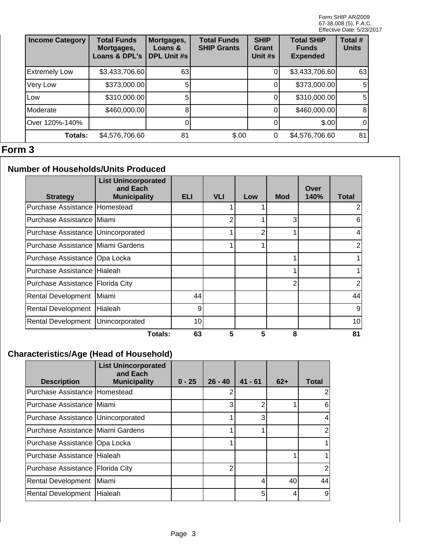| <b>Income Category</b> | <b>Total Funds</b><br>Mortgages,<br><b>Loans &amp; DPL's</b> | Mortgages,<br>Loans &<br><b>DPL Unit #s</b> | <b>Total Funds</b><br><b>SHIP Grants</b> | <b>SHIP</b><br>Grant<br>Unit #s | <b>Total SHIP</b><br><b>Funds</b><br><b>Expended</b> | Total #<br><b>Units</b> |
|------------------------|--------------------------------------------------------------|---------------------------------------------|------------------------------------------|---------------------------------|------------------------------------------------------|-------------------------|
| <b>Extremely Low</b>   | \$3,433,706.60                                               | 63                                          |                                          |                                 | \$3,433,706.60                                       | 63                      |
| Very Low               | \$373,000.00                                                 |                                             |                                          |                                 | \$373,000.00                                         | 5 <sub>l</sub>          |
| Low                    | \$310,000.00                                                 |                                             |                                          |                                 | \$310,000.00                                         | 5 <sub>l</sub>          |
| Moderate               | \$460,000.00                                                 |                                             |                                          |                                 | \$460,000.00                                         | 8 <sup>1</sup>          |
| Over 120%-140%         |                                                              |                                             |                                          |                                 | \$.00                                                | $\overline{0}$          |
| <b>Totals:</b>         | \$4,576,706.60                                               | 81                                          | \$.00                                    | 0                               | \$4,576,706.60                                       | 81                      |

## **Form 3**

## **Number of Households/Units Produced**

| <b>Strategy</b>                      | <b>List Unincorporated</b><br>and Each<br><b>Municipality</b> | ELI | <b>VLI</b> | Low | <b>Mod</b> | Over<br>140% | <b>Total</b> |
|--------------------------------------|---------------------------------------------------------------|-----|------------|-----|------------|--------------|--------------|
| Purchase Assistance Homestead        |                                                               |     |            |     |            |              | 2            |
| Purchase Assistance Miami            |                                                               |     | 2          |     | 3          |              | 6            |
| Purchase Assistance   Unincorporated |                                                               |     |            | 2   | ◢          |              | 4            |
| Purchase Assistance Miami Gardens    |                                                               |     |            |     |            |              | 2            |
| Purchase Assistance   Opa Locka      |                                                               |     |            |     |            |              |              |
| Purchase Assistance Hialeah          |                                                               |     |            |     |            |              |              |
| Purchase Assistance   Florida City   |                                                               |     |            |     | 2          |              | 2            |
| <b>Rental Development</b>            | Miami)                                                        | 44  |            |     |            |              | 44           |
| <b>Rental Development</b>            | Hialeah                                                       | 9   |            |     |            |              | 9            |
| <b>Rental Development</b>            | Unincorporated                                                | 10  |            |     |            |              | 10           |
|                                      | Totals:                                                       | 63  | 5          | 5   | 8          |              | 81           |

## **Characteristics/Age (Head of Household)**

| <b>Description</b>                   | <b>List Unincorporated</b><br>and Each<br><b>Municipality</b> | $0 - 25$ | $26 - 40$ | $41 - 61$ | $62+$ | <b>Total</b> |
|--------------------------------------|---------------------------------------------------------------|----------|-----------|-----------|-------|--------------|
| Purchase Assistance Homestead        |                                                               |          |           |           |       |              |
| Purchase Assistance Miami            |                                                               |          | 3         | 2         |       | 6            |
| Purchase Assistance   Unincorporated |                                                               |          |           | 3         |       |              |
| Purchase Assistance   Miami Gardens  |                                                               |          |           |           |       | 2            |
| Purchase Assistance   Opa Locka      |                                                               |          |           |           |       |              |
| Purchase Assistance Hialeah          |                                                               |          |           |           |       |              |
| Purchase Assistance   Florida City   |                                                               |          | 2         |           |       |              |
| <b>Rental Development</b>            | Miami                                                         |          |           | 4         | 40    | 44           |
| <b>Rental Development</b>            | <b>Hialeah</b>                                                |          |           | 5         | 4     | 9            |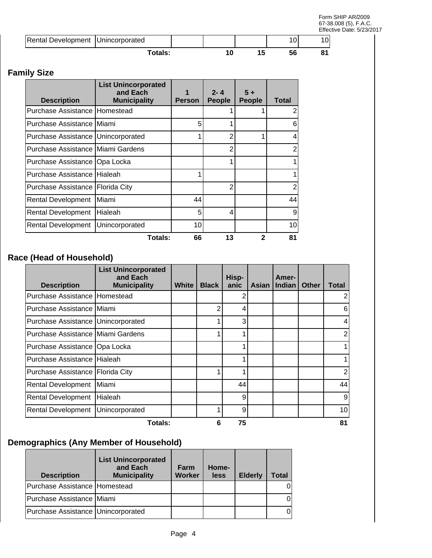Form SHIP AR/2009 67-38.008 (5), F.A.C. Effective Date: 5/23/2017

| Rental Development   Unincorporated |         |  |  |  |
|-------------------------------------|---------|--|--|--|
|                                     | Totals: |  |  |  |

## **Family Size**

| <b>Description</b>                   | <b>List Unincorporated</b><br>and Each<br><b>Municipality</b> | <b>Person</b> | $2 - 4$<br><b>People</b> | $5+$<br><b>People</b> | <b>Total</b>   |
|--------------------------------------|---------------------------------------------------------------|---------------|--------------------------|-----------------------|----------------|
| Purchase Assistance   Homestead      |                                                               |               |                          |                       | 2              |
| Purchase Assistance IMiami           |                                                               | 5             |                          |                       | 6              |
| Purchase Assistance   Unincorporated |                                                               |               | 2                        |                       | 4              |
| Purchase Assistance   Miami Gardens  |                                                               |               | 2                        |                       | 2              |
| Purchase Assistance   Opa Locka      |                                                               |               |                          |                       |                |
| Purchase Assistance I Hialeah        |                                                               |               |                          |                       |                |
| Purchase Assistance   Florida City   |                                                               |               | 2                        |                       | $\overline{2}$ |
| Rental Development                   | Miami                                                         | 44            |                          |                       | 44             |
| <b>Rental Development</b>            | Hialeah                                                       | 5             | 4                        |                       | 9              |
| Rental Development                   | Unincorporated                                                | 10            |                          |                       | 10             |
|                                      | Totals:                                                       | 66            | 13                       | 2                     | 81             |

## **Race (Head of Household)**

| <b>Description</b>                   | <b>List Unincorporated</b><br>and Each<br><b>Municipality</b> | White | <b>Black</b> | Hisp-<br>anic | Asian | <b>Amer-</b><br>Indian | Other | Total |
|--------------------------------------|---------------------------------------------------------------|-------|--------------|---------------|-------|------------------------|-------|-------|
| Purchase Assistance Homestead        |                                                               |       |              | 2             |       |                        |       |       |
| Purchase Assistance IMiami           |                                                               |       | 2            | 4             |       |                        |       | 6     |
| Purchase Assistance   Unincorporated |                                                               |       |              | 3             |       |                        |       | 4     |
| Purchase Assistance   Miami Gardens  |                                                               |       |              |               |       |                        |       | 2     |
| Purchase Assistance   Opa Locka      |                                                               |       |              |               |       |                        |       |       |
| Purchase Assistance Hialeah          |                                                               |       |              | ◢             |       |                        |       |       |
| Purchase Assistance   Florida City   |                                                               |       |              |               |       |                        |       | 2     |
| <b>Rental Development</b>            | Miami                                                         |       |              | 44            |       |                        |       | 44    |
| Rental Development                   | Hialeah                                                       |       |              | 9             |       |                        |       | 9     |
| Rental Development                   | Unincorporated                                                |       |              | 9             |       |                        |       | 10    |
|                                      | Totals:                                                       |       | 6            | 75            |       |                        |       | 81    |

## **Demographics (Any Member of Household)**

| <b>Description</b>                   | <b>List Unincorporated</b><br>and Each<br><b>Municipality</b> | Farm<br>Worker | Home-<br>less | <b>Elderly</b> | Total |
|--------------------------------------|---------------------------------------------------------------|----------------|---------------|----------------|-------|
| Purchase Assistance   Homestead      |                                                               |                |               |                |       |
| Purchase Assistance Miami            |                                                               |                |               |                |       |
| Purchase Assistance   Unincorporated |                                                               |                |               |                |       |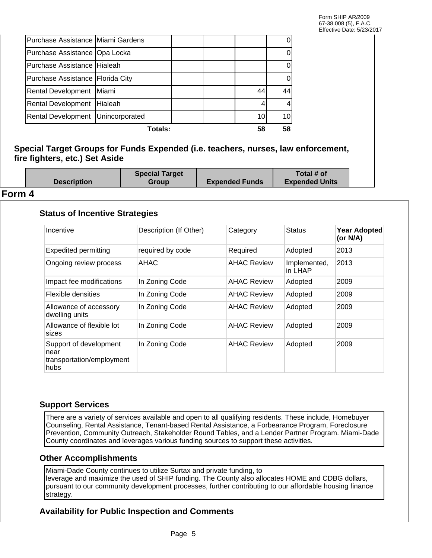| Totals:<br>58                      |                |  |                 |    |
|------------------------------------|----------------|--|-----------------|----|
| Rental Development Unincorporated  |                |  | 10 <sup>1</sup> |    |
| <b>Rental Development</b>          | <b>Hialeah</b> |  |                 |    |
| <b>Rental Development</b>          | Miami          |  | 44              | 44 |
| Purchase Assistance   Florida City |                |  |                 |    |
| Purchase Assistance Hialeah        |                |  |                 |    |
| Purchase Assistance   Opa Locka    |                |  |                 |    |
| Purchase Assistance Miami Gardens  |                |  |                 |    |

#### **Special Target Groups for Funds Expended (i.e. teachers, nurses, law enforcement, fire fighters, etc.) Set Aside**

| <b>Description</b> | <b>Special Target</b><br>Group | <b>Expended Funds</b> | Total # of<br><b>Expended Units</b> |  |
|--------------------|--------------------------------|-----------------------|-------------------------------------|--|
|                    |                                |                       |                                     |  |

#### **Form 4**

#### **Status of Incentive Strategies**

| Incentive                                                           | Description (If Other) | Category           | <b>Status</b>           | <b>Year Adopted</b><br>(or N/A) |
|---------------------------------------------------------------------|------------------------|--------------------|-------------------------|---------------------------------|
| <b>Expedited permitting</b>                                         | required by code       | Required           | Adopted                 | 2013                            |
| Ongoing review process                                              | AHAC                   | <b>AHAC Review</b> | Implemented,<br>in LHAP | 2013                            |
| Impact fee modifications                                            | In Zoning Code         | <b>AHAC Review</b> | Adopted                 | 2009                            |
| Flexible densities                                                  | In Zoning Code         | <b>AHAC Review</b> | Adopted                 | 2009                            |
| Allowance of accessory<br>dwelling units                            | In Zoning Code         | <b>AHAC Review</b> | Adopted                 | 2009                            |
| Allowance of flexible lot<br>sizes                                  | In Zoning Code         | <b>AHAC Review</b> | Adopted                 | 2009                            |
| Support of development<br>near<br>transportation/employment<br>hubs | In Zoning Code         | <b>AHAC Review</b> | Adopted                 | 2009                            |

#### **Support Services**

There are a variety of services available and open to all qualifying residents. These include, Homebuyer Counseling, Rental Assistance, Tenant-based Rental Assistance, a Forbearance Program, Foreclosure Prevention, Community Outreach, Stakeholder Round Tables, and a Lender Partner Program. Miami-Dade County coordinates and leverages various funding sources to support these activities.

#### **Other Accomplishments**

Miami-Dade County continues to utilize Surtax and private funding, to leverage and maximize the used of SHIP funding. The County also allocates HOME and CDBG dollars, pursuant to our community development processes, further contributing to our affordable housing finance strategy.

#### **Availability for Public Inspection and Comments**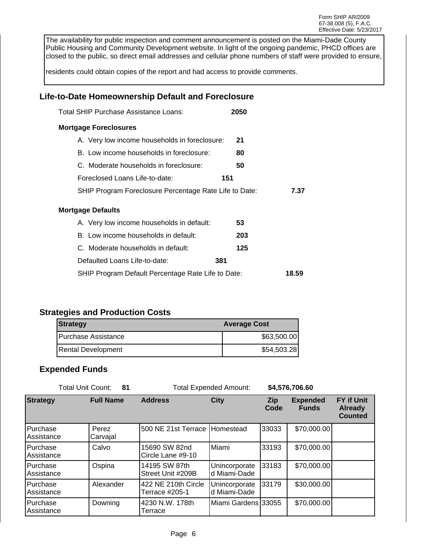The availability for public inspection and comment announcement is posted on the Miami-Dade County Public Housing and Community Development website. In light of the ongoing pandemic, PHCD offices are closed to the public, so direct email addresses and cellular phone numbers of staff were provided to ensure,

residents could obtain copies of the report and had access to provide comments.

#### **Life-to-Date Homeownership Default and Foreclosure**

| Total SHIP Purchase Assistance Loans:                  | 2050 |       |
|--------------------------------------------------------|------|-------|
| <b>Mortgage Foreclosures</b>                           |      |       |
| A. Very low income households in foreclosure:          | 21   |       |
| B. Low income households in foreclosure:               | 80   |       |
| C. Moderate households in foreclosure:                 | 50   |       |
| Foreclosed Loans Life-to-date:                         | 151  |       |
| SHIP Program Foreclosure Percentage Rate Life to Date: |      | 7.37  |
| Mortgage Defaults                                      |      |       |
| A. Very low income households in default:              | 53   |       |
| B. Low income households in default:                   | 203  |       |
| C. Moderate households in default:                     | 125  |       |
| Defaulted Loans Life-to-date:                          | 381  |       |
| SHIP Program Default Percentage Rate Life to Date:     |      | 18.59 |

#### **Strategies and Production Costs**

| <b>Strategy</b>      | <b>Average Cost</b> |
|----------------------|---------------------|
| IPurchase Assistance | \$63,500.00]        |
| Rental Development   | \$54,503.28]        |

#### **Expended Funds**

| Total Unit Count:      | - 81              |                                       | <b>Total Expended Amount:</b>  |             | \$4,576,706.60                  |                                                       |
|------------------------|-------------------|---------------------------------------|--------------------------------|-------------|---------------------------------|-------------------------------------------------------|
| <b>Strategy</b>        | <b>Full Name</b>  | <b>Address</b>                        | <b>City</b>                    | Zip<br>Code | <b>Expended</b><br><b>Funds</b> | <b>FY if Unit</b><br><b>Already</b><br><b>Counted</b> |
| Purchase<br>Assistance | Perez<br>Carvajal | 500 NE 21st Terrace Homestead         |                                | 33033       | \$70,000.00                     |                                                       |
| Purchase<br>Assistance | Calvo             | 15690 SW 82nd<br>Circle Lane #9-10    | IMiami                         | 33193       | \$70,000.00                     |                                                       |
| Purchase<br>Assistance | Ospina            | 14195 SW 87th<br>Street Unit #209B    | Unincorporate<br>ld Miami-Dade | 33183       | \$70,000.00                     |                                                       |
| Purchase<br>Assistance | Alexander         | 422 NE 210th Circle<br>Terrace #205-1 | Unincorporate<br>ld Miami-Dade | 33179       | \$30,000.00                     |                                                       |
| Purchase<br>Assistance | Downing           | 4230 N.W. 178th<br>Terrace            | lMiami Gardens l33055          |             | \$70,000.00]                    |                                                       |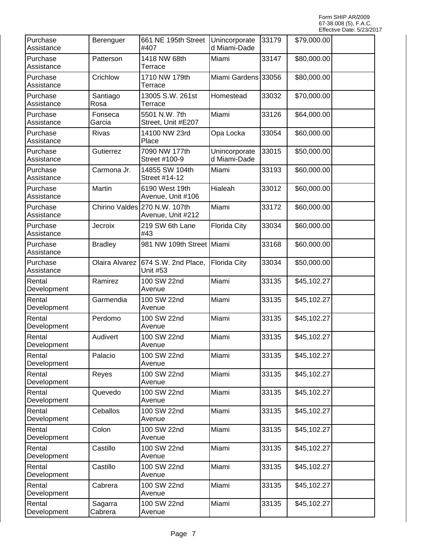| Purchase<br>Assistance | Berenguer          | 661 NE 195th Street<br>#407                        | Unincorporate<br>d Miami-Dade | 33179 | \$79,000.00 |  |
|------------------------|--------------------|----------------------------------------------------|-------------------------------|-------|-------------|--|
| Purchase<br>Assistance | Patterson          | 1418 NW 68th<br>Terrace                            | Miami                         | 33147 | \$80,000.00 |  |
| Purchase<br>Assistance | Crichlow           | 1710 NW 179th<br>Terrace                           | Miami Gardens 33056           |       | \$80,000.00 |  |
| Purchase<br>Assistance | Santiago<br>Rosa   | 13005 S.W. 261st<br>Terrace                        | Homestead                     | 33032 | \$70,000.00 |  |
| Purchase<br>Assistance | Fonseca<br>Garcia  | 5501 N.W. 7th<br>Street, Unit #E207                | Miami                         | 33126 | \$64,000.00 |  |
| Purchase<br>Assistance | <b>Rivas</b>       | 14100 NW 23rd<br>Place                             | Opa Locka                     | 33054 | \$60,000.00 |  |
| Purchase<br>Assistance | Gutierrez          | 7090 NW 177th<br>Street #100-9                     | Unincorporate<br>d Miami-Dade | 33015 | \$50,000.00 |  |
| Purchase<br>Assistance | Carmona Jr.        | 14855 SW 104th<br>Street #14-12                    | Miami                         | 33193 | \$60,000.00 |  |
| Purchase<br>Assistance | Martin             | 6190 West 19th<br>Avenue, Unit #106                | Hialeah                       | 33012 | \$60,000.00 |  |
| Purchase<br>Assistance |                    | Chirino Valdes 270 N.W. 107th<br>Avenue, Unit #212 | Miami                         | 33172 | \$60,000.00 |  |
| Purchase<br>Assistance | Jecroix            | 219 SW 6th Lane<br>#43                             | <b>Florida City</b>           | 33034 | \$60,000.00 |  |
| Purchase<br>Assistance | <b>Bradley</b>     | 981 NW 109th Street Miami                          |                               | 33168 | \$60,000.00 |  |
| Purchase<br>Assistance | Olaira Alvarez     | 674 S.W. 2nd Place,<br>Unit #53                    | Florida City                  | 33034 | \$50,000.00 |  |
| Rental<br>Development  | Ramirez            | 100 SW 22nd<br>Avenue                              | Miami                         | 33135 | \$45,102.27 |  |
| Rental<br>Development  | Garmendia          | 100 SW 22nd<br>Avenue                              | Miami                         | 33135 | \$45,102.27 |  |
| Rental<br>Development  | Perdomo            | 100 SW 22nd<br>Avenue                              | Miami                         | 33135 | \$45,102.27 |  |
| Rental<br>Development  | Audivert           | 100 SW 22nd<br>Avenue                              | Miami                         | 33135 | \$45,102.27 |  |
| Rental<br>Development  | Palacio            | 100 SW 22nd<br>Avenue                              | Miami                         | 33135 | \$45,102.27 |  |
| Rental<br>Development  | Reyes              | 100 SW 22nd<br>Avenue                              | Miami                         | 33135 | \$45,102.27 |  |
| Rental<br>Development  | Quevedo            | 100 SW 22nd<br>Avenue                              | Miami                         | 33135 | \$45,102.27 |  |
| Rental<br>Development  | Ceballos           | 100 SW 22nd<br>Avenue                              | Miami                         | 33135 | \$45,102.27 |  |
| Rental<br>Development  | Colon              | 100 SW 22nd<br>Avenue                              | Miami                         | 33135 | \$45,102.27 |  |
| Rental<br>Development  | Castillo           | 100 SW 22nd<br>Avenue                              | Miami                         | 33135 | \$45,102.27 |  |
| Rental<br>Development  | Castillo           | 100 SW 22nd<br>Avenue                              | Miami                         | 33135 | \$45,102.27 |  |
| Rental<br>Development  | Cabrera            | 100 SW 22nd<br>Avenue                              | Miami                         | 33135 | \$45,102.27 |  |
| Rental<br>Development  | Sagarra<br>Cabrera | 100 SW 22nd<br>Avenue                              | Miami                         | 33135 | \$45,102.27 |  |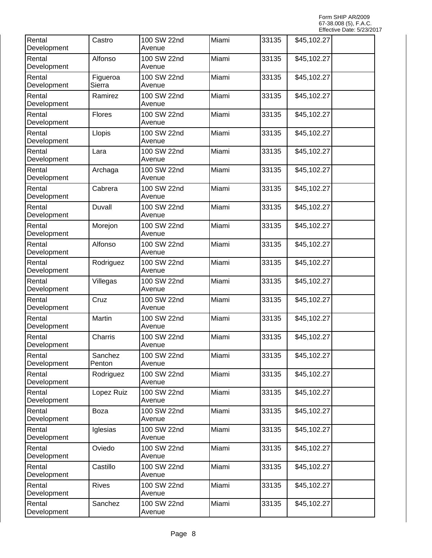| Rental<br>Development | Castro             | 100 SW 22nd<br>Avenue | Miami | 33135 | \$45,102.27 |  |
|-----------------------|--------------------|-----------------------|-------|-------|-------------|--|
| Rental<br>Development | Alfonso            | 100 SW 22nd<br>Avenue | Miami | 33135 | \$45,102.27 |  |
| Rental<br>Development | Figueroa<br>Sierra | 100 SW 22nd<br>Avenue | Miami | 33135 | \$45,102.27 |  |
| Rental<br>Development | Ramirez            | 100 SW 22nd<br>Avenue | Miami | 33135 | \$45,102.27 |  |
| Rental<br>Development | Flores             | 100 SW 22nd<br>Avenue | Miami | 33135 | \$45,102.27 |  |
| Rental<br>Development | Llopis             | 100 SW 22nd<br>Avenue | Miami | 33135 | \$45,102.27 |  |
| Rental<br>Development | Lara               | 100 SW 22nd<br>Avenue | Miami | 33135 | \$45,102.27 |  |
| Rental<br>Development | Archaga            | 100 SW 22nd<br>Avenue | Miami | 33135 | \$45,102.27 |  |
| Rental<br>Development | Cabrera            | 100 SW 22nd<br>Avenue | Miami | 33135 | \$45,102.27 |  |
| Rental<br>Development | Duvall             | 100 SW 22nd<br>Avenue | Miami | 33135 | \$45,102.27 |  |
| Rental<br>Development | Morejon            | 100 SW 22nd<br>Avenue | Miami | 33135 | \$45,102.27 |  |
| Rental<br>Development | Alfonso            | 100 SW 22nd<br>Avenue | Miami | 33135 | \$45,102.27 |  |
| Rental<br>Development | Rodriguez          | 100 SW 22nd<br>Avenue | Miami | 33135 | \$45,102.27 |  |
| Rental<br>Development | Villegas           | 100 SW 22nd<br>Avenue | Miami | 33135 | \$45,102.27 |  |
| Rental<br>Development | Cruz               | 100 SW 22nd<br>Avenue | Miami | 33135 | \$45,102.27 |  |
| Rental<br>Development | Martin             | 100 SW 22nd<br>Avenue | Miami | 33135 | \$45,102.27 |  |
| Rental<br>Development | Charris            | 100 SW 22nd<br>Avenue | Miami | 33135 | \$45,102.27 |  |
| Rental<br>Development | Sanchez<br>Penton  | 100 SW 22nd<br>Avenue | Miami | 33135 | \$45,102.27 |  |
| Rental<br>Development | Rodriguez          | 100 SW 22nd<br>Avenue | Miami | 33135 | \$45,102.27 |  |
| Rental<br>Development | Lopez Ruiz         | 100 SW 22nd<br>Avenue | Miami | 33135 | \$45,102.27 |  |
| Rental<br>Development | Boza               | 100 SW 22nd<br>Avenue | Miami | 33135 | \$45,102.27 |  |
| Rental<br>Development | Iglesias           | 100 SW 22nd<br>Avenue | Miami | 33135 | \$45,102.27 |  |
| Rental<br>Development | Oviedo             | 100 SW 22nd<br>Avenue | Miami | 33135 | \$45,102.27 |  |
| Rental<br>Development | Castillo           | 100 SW 22nd<br>Avenue | Miami | 33135 | \$45,102.27 |  |
| Rental<br>Development | <b>Rives</b>       | 100 SW 22nd<br>Avenue | Miami | 33135 | \$45,102.27 |  |
| Rental<br>Development | Sanchez            | 100 SW 22nd<br>Avenue | Miami | 33135 | \$45,102.27 |  |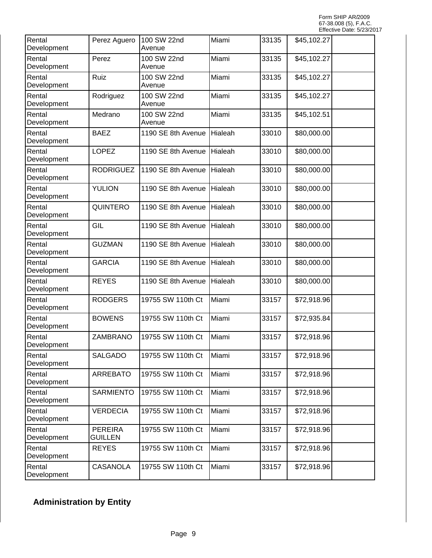| Rental<br>Development | Perez Aguero                     | 100 SW 22nd<br>Avenue | Miami   | 33135 | \$45,102.27 |  |
|-----------------------|----------------------------------|-----------------------|---------|-------|-------------|--|
| Rental<br>Development | Perez                            | 100 SW 22nd<br>Avenue | Miami   | 33135 | \$45,102.27 |  |
| Rental<br>Development | Ruiz                             | 100 SW 22nd<br>Avenue | Miami   | 33135 | \$45,102.27 |  |
| Rental<br>Development | Rodriguez                        | 100 SW 22nd<br>Avenue | Miami   | 33135 | \$45,102.27 |  |
| Rental<br>Development | Medrano                          | 100 SW 22nd<br>Avenue | Miami   | 33135 | \$45,102.51 |  |
| Rental<br>Development | <b>BAEZ</b>                      | 1190 SE 8th Avenue    | Hialeah | 33010 | \$80,000.00 |  |
| Rental<br>Development | <b>LOPEZ</b>                     | 1190 SE 8th Avenue    | Hialeah | 33010 | \$80,000.00 |  |
| Rental<br>Development | <b>RODRIGUEZ</b>                 | 1190 SE 8th Avenue    | Hialeah | 33010 | \$80,000.00 |  |
| Rental<br>Development | <b>YULION</b>                    | 1190 SE 8th Avenue    | Hialeah | 33010 | \$80,000.00 |  |
| Rental<br>Development | <b>QUINTERO</b>                  | 1190 SE 8th Avenue    | Hialeah | 33010 | \$80,000.00 |  |
| Rental<br>Development | GIL                              | 1190 SE 8th Avenue    | Hialeah | 33010 | \$80,000.00 |  |
| Rental<br>Development | <b>GUZMAN</b>                    | 1190 SE 8th Avenue    | Hialeah | 33010 | \$80,000.00 |  |
| Rental<br>Development | <b>GARCIA</b>                    | 1190 SE 8th Avenue    | Hialeah | 33010 | \$80,000.00 |  |
| Rental<br>Development | <b>REYES</b>                     | 1190 SE 8th Avenue    | Hialeah | 33010 | \$80,000.00 |  |
| Rental<br>Development | <b>RODGERS</b>                   | 19755 SW 110th Ct     | Miami   | 33157 | \$72,918.96 |  |
| Rental<br>Development | <b>BOWENS</b>                    | 19755 SW 110th Ct     | Miami   | 33157 | \$72,935.84 |  |
| Rental<br>Development | ZAMBRANO                         | 19755 SW 110th Ct     | Miami   | 33157 | \$72,918.96 |  |
| Rental<br>Development | SALGADO                          | 19755 SW 110th Ct     | Miami   | 33157 | \$72,918.96 |  |
| Rental<br>Development | <b>ARREBATO</b>                  | 19755 SW 110th Ct     | Miami   | 33157 | \$72,918.96 |  |
| Rental<br>Development | <b>SARMIENTO</b>                 | 19755 SW 110th Ct     | Miami   | 33157 | \$72,918.96 |  |
| Rental<br>Development | <b>VERDECIA</b>                  | 19755 SW 110th Ct     | Miami   | 33157 | \$72,918.96 |  |
| Rental<br>Development | <b>PEREIRA</b><br><b>GUILLEN</b> | 19755 SW 110th Ct     | Miami   | 33157 | \$72,918.96 |  |
| Rental<br>Development | <b>REYES</b>                     | 19755 SW 110th Ct     | Miami   | 33157 | \$72,918.96 |  |
| Rental<br>Development | <b>CASANOLA</b>                  | 19755 SW 110th Ct     | Miami   | 33157 | \$72,918.96 |  |

## **Administration by Entity**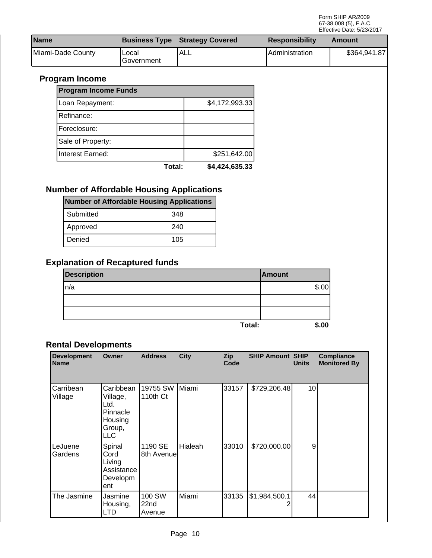| <b>Name</b>       |                     | <b>Business Type Strategy Covered</b> | <b>Responsibility</b> | Amount       |
|-------------------|---------------------|---------------------------------------|-----------------------|--------------|
| Miami-Dade County | Local<br>Government | <b>ALL</b>                            | IAdministration       | \$364,941.87 |

## **Program Income**

| <b>Program Income Funds</b> |        |                |
|-----------------------------|--------|----------------|
| Loan Repayment:             |        | \$4,172,993.33 |
| Refinance:                  |        |                |
| Foreclosure:                |        |                |
| Sale of Property:           |        |                |
| Interest Earned:            |        | \$251,642.00   |
|                             | Total: | \$4,424,635.33 |

## **Number of Affordable Housing Applications**

| Number of Affordable Housing Applications |     |  |  |  |  |
|-------------------------------------------|-----|--|--|--|--|
| Submitted                                 | 348 |  |  |  |  |
| Approved                                  | 240 |  |  |  |  |
| Denied                                    | 105 |  |  |  |  |

## **Explanation of Recaptured funds**

| <b>Description</b> |        | <b>Amount</b> |
|--------------------|--------|---------------|
| ln/a               |        | \$.00         |
|                    |        |               |
|                    |        |               |
|                    | Total: | \$.00         |

#### **Rental Developments**

| <b>Development</b><br><b>Name</b> | <b>Owner</b>                                                          | <b>Address</b>                       | <b>City</b> | Zip<br>Code | <b>SHIP Amount SHIP</b> | <b>Units</b>    | <b>Compliance</b><br><b>Monitored By</b> |
|-----------------------------------|-----------------------------------------------------------------------|--------------------------------------|-------------|-------------|-------------------------|-----------------|------------------------------------------|
| Carribean<br>Village              | Caribbean<br>Village,<br>Ltd.<br>Pinnacle<br>Housing<br>Group,<br>LLC | 19755 SW<br>110th Ct                 | Miami       | 33157       | \$729,206.48            | 10 <sup>1</sup> |                                          |
| LeJuene<br>Gardens                | Spinal<br>Cord<br>Living<br>Assistance<br>Developm<br>ent             | 1190 SE<br>8th Avenue                | Hialeah     | 33010       | \$720,000.00            | 9               |                                          |
| The Jasmine                       | Jasmine<br>Housing,<br>LTD                                            | 100 SW<br>22 <sub>nd</sub><br>Avenue | lMiami      | 33135       | \$1,984,500.1           | 44              |                                          |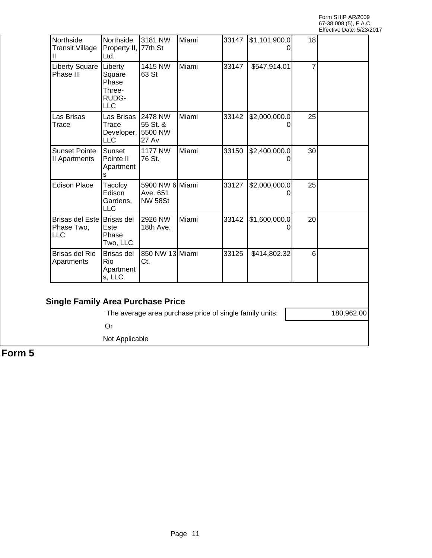| Northside<br><b>Transit Village</b><br>Ш        | Northside<br>Property II, 77th St<br>Ltd.                   | 3181 NW                                         | Miami | 33147 | \$1,101,900.0 | 18 |  |
|-------------------------------------------------|-------------------------------------------------------------|-------------------------------------------------|-------|-------|---------------|----|--|
| <b>Liberty Square</b><br>Phase III              | Liberty<br>Square<br>Phase<br>Three-<br>RUDG-<br><b>LLC</b> | 1415 NW<br>63 St                                | Miami | 33147 | \$547,914.01  |    |  |
| Las Brisas<br>Trace                             | Las Brisas<br>Trace<br>Developer,<br><b>LLC</b>             | 12478 NW<br>55 St. &<br>5500 NW<br><b>27 Av</b> | Miami | 33142 | \$2,000,000.0 | 25 |  |
| <b>Sunset Pointe</b><br>II Apartments           | Sunset<br>Pointe II<br>Apartment<br>s                       | <b>1177 NW</b><br>76 St.                        | Miami | 33150 | \$2,400,000.0 | 30 |  |
| <b>Edison Place</b>                             | Tacolcy<br>Edison<br>Gardens,<br>LLC                        | 5900 NW 6 Miami<br>Ave. 651<br><b>NW 58St</b>   |       | 33127 | \$2,000,000.0 | 25 |  |
| Brisas del Este Brisas del<br>Phase Two,<br>LLC | Este<br>Phase<br>Two, LLC                                   | 2926 NW<br>18th Ave.                            | Miami | 33142 | \$1,600,000.0 | 20 |  |
| <b>Brisas del Rio</b><br>Apartments             | <b>Brisas del</b><br>Rio<br>Apartment<br>s, LLC             | 850 NW 13 Miami<br>Ct.                          |       | 33125 | \$414,802.32  | 6  |  |

### **Single Family Area Purchase Price**

The average area purchase price of single family units: | 180,962.00

Or

Not Applicable

**Form 5**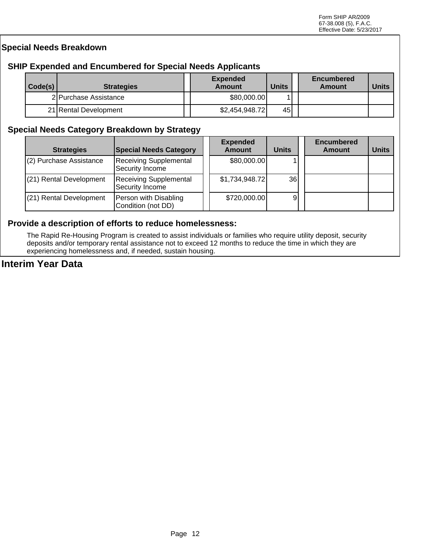#### **Special Needs Breakdown**

#### **SHIP Expended and Encumbered for Special Needs Applicants**

| $\vert$ Code(s) | <b>Strategies</b>     | <b>Expended</b><br>Amount | <b>Units</b> | <b>Encumbered</b><br>Amount | <b>Units</b> |
|-----------------|-----------------------|---------------------------|--------------|-----------------------------|--------------|
|                 | 2IPurchase Assistance | \$80,000.00               |              |                             |              |
|                 | 21 Rental Development | \$2,454,948.72            | 45           |                             |              |

#### **Special Needs Category Breakdown by Strategy**

| <b>Strategies</b>       | <b>Special Needs Category</b>                    | <b>Expended</b><br><b>Amount</b> | <b>Units</b>    | <b>Encumbered</b><br><b>Amount</b> | <b>Units</b> |
|-------------------------|--------------------------------------------------|----------------------------------|-----------------|------------------------------------|--------------|
| (2) Purchase Assistance | <b>Receiving Supplemental</b><br>Security Income | \$80,000.00]                     |                 |                                    |              |
| (21) Rental Development | <b>Receiving Supplemental</b><br>Security Income | \$1,734,948.72                   | 36 <sup>l</sup> |                                    |              |
| (21) Rental Development | Person with Disabling<br>Condition (not DD)      | \$720,000.00                     | 9               |                                    |              |

#### **Provide a description of efforts to reduce homelessness:**

The Rapid Re-Housing Program is created to assist individuals or families who require utility deposit, security deposits and/or temporary rental assistance not to exceed 12 months to reduce the time in which they are experiencing homelessness and, if needed, sustain housing.

#### **Interim Year Data**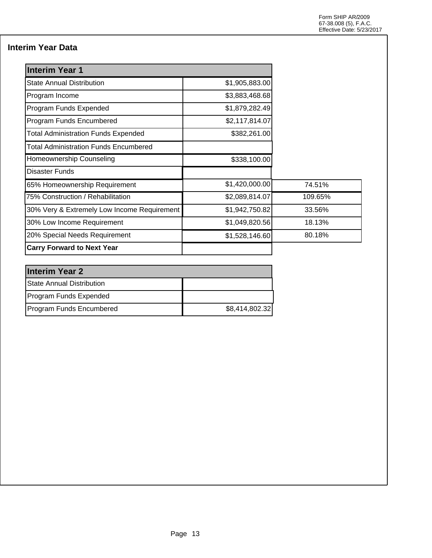## **Interim Year Data**

| <b>Interim Year 1</b>                        |                |         |
|----------------------------------------------|----------------|---------|
| <b>State Annual Distribution</b>             | \$1,905,883.00 |         |
| Program Income                               | \$3,883,468.68 |         |
| Program Funds Expended                       | \$1,879,282.49 |         |
| Program Funds Encumbered                     | \$2,117,814.07 |         |
| <b>Total Administration Funds Expended</b>   | \$382,261.00   |         |
| <b>Total Administration Funds Encumbered</b> |                |         |
| Homeownership Counseling                     | \$338,100.00   |         |
| <b>Disaster Funds</b>                        |                |         |
| 65% Homeownership Requirement                | \$1,420,000.00 | 74.51%  |
| 75% Construction / Rehabilitation            | \$2,089,814.07 | 109.65% |
| 30% Very & Extremely Low Income Requirement  | \$1,942,750.82 | 33.56%  |
| 30% Low Income Requirement                   | \$1,049,820.56 | 18.13%  |
| 20% Special Needs Requirement                | \$1,528,146.60 | 80.18%  |
| <b>Carry Forward to Next Year</b>            |                |         |

| <b>Interim Year 2</b>     |                |
|---------------------------|----------------|
| State Annual Distribution |                |
| Program Funds Expended    |                |
| Program Funds Encumbered  | \$8,414,802.32 |